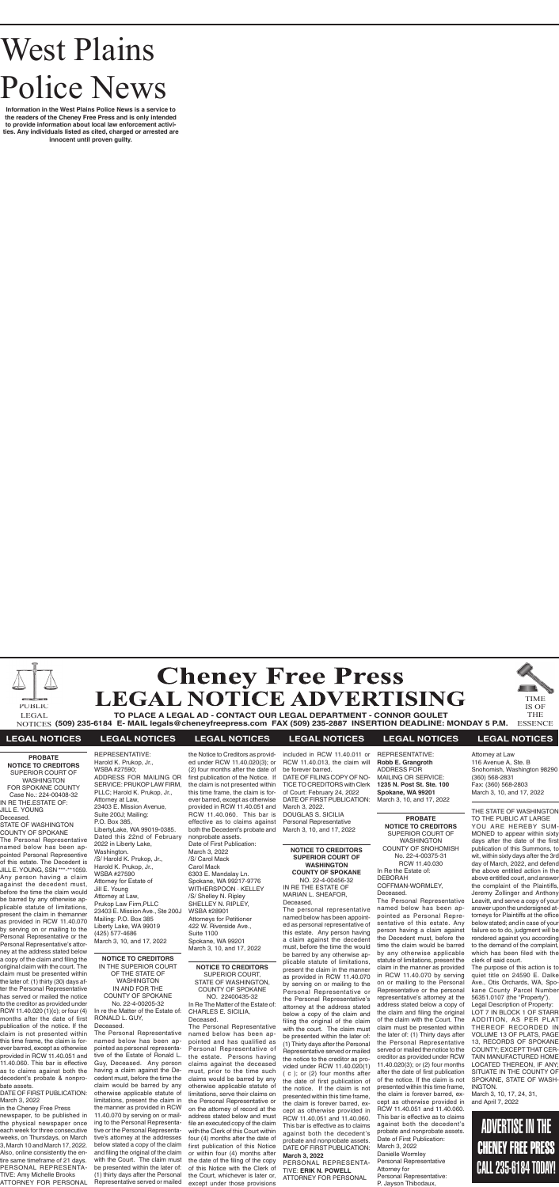# West Plains Police News

**Information in the West Plains Police News is a service to the readers of the Cheney Free Press and is only intended to provide information about local law enforcement activities. Any individuals listed as cited, charged or arrested are innocent until proven guilty.**





**TO PLACE A LEGAL AD - CONTACT OUR LEGAL DEPARTMENT - CONNOR GOULET (509) 235-6184 E- MAIL legals@cheneyfreepress.com FAX (509) 235-2887 INSERTION DEADLINE: MONDAY 5 P.M.** NOTICES ESSENCE LEGAL

TIME IS OF THE

PUBLIC

### **LEGAL NOTICES LEGAL NOTICES LEGAL NOTICES LEGAL NOTICES LEGAL NOTICES LEGAL NOTICES**

**NOTICE TO CREDITORS** SUPERIOR COURT, STATE OF WASHINGTON, COUNTY OF SPOKANE NO. 22400435-32 In Re The Matter of the Estate of: CHARLES E. SICILIA, Deceased.

The Personal Representative named below has been appointed and has qualified as Personal Representative of the estate. Persons having claims against the deceased must, prior to the time such claims would be barred by any otherwise applicable statute of limitations, serve their claims on the Personal Representative or on the attorney of record at the address stated below and must file an executed copy of the claim with the Clerk of this Court within four (4) months after the date of first publication of this Notice or within four (4) months after the date of the filing of the copy of this Notice with the Clerk of the Court, whichever is later or, except under those provisions

**NOTICE TO CREDITORS SUPERIOR COURT OF WASHINGTON COUNTY OF SPOKANE** NO. 22-4-00456-32

IN RE THE ESTATE OF MARIAN L. SHEAFOR, Deceased. The personal representative

named below has been appointed as personal representative of this estate. Any person having a claim against the decedent must, before the time the would be barred by any otherwise applicable statute of limitations, present the claim in the manner as provided in RCW 11.40.070 by serving on or mailing to the Personal Representative or the Personal Representative's attorney at the address stated below a copy of the claim and filing the original of the claim with the court. The claim must be presented within the later of: (1) Thirty days after the Personal Representative served or mailed the notice to the creditor as provided under RCW 11.40.020(1) ( c ); or (2) four months after the date of first publication of the notice. If the claim is not presented within this time frame, the claim is forever barred, except as otherwise provided in RCW 11.40.051 and 11.40.060. This bar is effective as to claims against both the decedent's probate and nonprobate assets. DATE OF FIRST PUBLICATION: **March 3, 2022** PERSONAL REPRESENTA-

TIVE: **ERIK N. POWELL** ATTORNEY FOR PERSONAL

#### **NOTICE TO CREDITORS** IN THE SUPERIOR COURT OF THE STATE OF WASHINGTON IN AND FOR THE COUNTY OF SPOKANE No. 22-4-00205-32 In re the Matter of the Estate of: RONALD L. GUY, Deceased.

The Personal Representative named below has been appointed as personal representative of the Estate of Ronald L. Guy, Deceased. Any person having a claim against the Decedent must, before the time the claim would be barred by any otherwise applicable statute of limitations, present the claim in the manner as provided in RCW 11.40.070 by serving on or mailing to the Personal Representative or the Personal Representative's attorney at the addresses below stated a copy of the claim and filing the original of the claim with the Court. The claim must be presented within the later of: (1) thirty days after the Personal Representative served or mailed

**PROBATE NOTICE TO CREDITORS** SUPERIOR COURT OF WASHINGTON COUNTY OF SNOHOMISH No. 22-4-00375-31 RCW 11.40.030 In Re the Estate of: DEBORAH COFFMAN-WORMLEY, Deceased.

The Personal Representative named below has been appointed as Personal Representative of this estate. Any person having a claim against the Decedent must, before the time the claim would be barred by any otherwise applicable statute of limitations, present the claim in the manner as provided in RCW 11.40.070 by serving on or mailing to the Personal Representative or the personal representative's attorney at the address stated below a copy of the claim and filing the original of the claim with the Court. The claim must be presented within the later of: (1) Thirty days after the Personal Representative served or mailed the notice to the creditor as provided under RCW 11.40.020(3); or (2) four months after the date of first publication of the notice. If the claim is not presented within this time frame, the claim is forever barred, except as otherwise provided in RCW 11.40.051 and 11.40.060. This bar is effective as to claims against both the decedent's probate and nonprobate assets. Date of First Publication: March 3, 2022 Danielle Wormley Personal Representative Attorney for Personal Representative: P. Jayson Thibodaux,

**PROBATE NOTICE TO CREDITORS** SUPERIOR COURT OF WASHINGTON FOR SPOKANE COUNTY Case No.: 224-00408-32 IN RE THE.ESTATE OF: JILL E. YOUNG Deceased. STATE OF WASHINGTON COUNTY OF SPOKANE

The Personal Representative named below has been appointed Personal Representive of this estate. The Decedent is JILL E. YOUNG, SSN \*\*\*-\*\*1059. Any person having a claim against the decedent must, before the time the claim would be barred by any otherwise applicable statute of limitations, present the claim in themanner as provided in RCW 11.40.070 by serving on or mailing to the Personal Representative or the Personal Representative's attorney at the address stated below a copy of the claim and filing the original claim with the court. The claim must be presented within the later of: (1) thirty (30) days after the Personal Representative has served or mailed the notice to the creditor as provided under RCW 11.40.020 (1)(c); or four (4) months after the date of first publication of the notice. If the claim is not presented within this time frame, the claim is forever barred, except as otherwise provided in RCW 11.40.051 and 11.40.060. This bar is effective as to claims against both the decedent's probate & nonpro-

#### bate assets. DATE OF FIRST PUBLICATION: March 3, 2022

in the Cheney Free Press newspaper, to be published in the physical newspaper once each week for three consecutive weeks, on Thursdays, on March 3, March 10 and March 17, 2022. Also, online consistently the entire same timeframe of 21 days. PERSONAL REPRESENTA-TIVE: Amy Michelle Brooks ATTORNEY FOR PERSONAL

REPRESENTATIVE: Harold K. Prukop, Jr., WSBA #27590; ADDRESS FOR MAILING OR SERVICE: PRUKOP LAW FIRM, PI LC: Harold K. Prukop, Jr., Attorney at Law, 23403 E. Mission Avenue, Suite 200J; Mailing: P.O. Box 385, LibertyLake, WA 99019-0385. Dated this 22nd of February 2022 in Liberty Lake, Washington. /S/ Harold K. Prukop, Jr., Harold K. Prukop, Jr., WSBA #27590 Attorney for Estate of Jill E. Young Attorney at Law, Prukop Law Firm,PLLC 23403 E. Mission Ave., Ste 200J Mailing: P.O. Box 385 Liberty Lake, WA 99019 (425) 577-4686 March 3, 10, and 17, 2022

the Notice to Creditors as provided under RCW 11.40.020(3); or (2) four months after the date of first publication of the Notice. If the claim is not presented within this time frame, the claim is forever barred, except as otherwise provided in RCW 11.40.051 and RCW 11.40.060. This bar is effective as to claims against both the Decedent's probate and nonprobate assets. Date of First Publication: March 3, 2022 /S/ Carol Mack Carol Mack 6303 E. Mandalay Ln. Spokane, WA 99217-9776 WITHERSPOON · KELLEY /S/ Shelley N. Ripley SHELLEY N. RIPLEY, WSBA #28901 Attorneys for Petitioner 422 W. Riverside Ave., Suite 1100 Spokane, WA 99201 March 3, 10, and 17, 2022

included in RCW 11.40.011 or RCW 11.40.013, the claim will be forever barred. DATE OF FILING COPY OF NO-TICE TO CREDITORS with Clerk of Court: February 24, 2022 DATE OF FIRST PUBLICATION: March 3, 2022. DOUGLAS S. SICILIA Personal Representative March 3, 10, and 17, 2022

REPRESENTATIVE: **Robb E. Grangroth** ADDRESS FOR MAILING OR SERVICE: **1235 N. Post St. Ste. 100 Spokane, WA 99201** March 3, 10, and 17, 2022 Attorney at Law 116 Avenue A, Ste. B Snohomish, Washington 98290 (360) 568-2831 Fax: (360) 568-2803 March 3, 10, and 17, 2022

THE STATE OF WASHINGTON TO THE PUBLIC AT LARGE YOU ARE HEREBY SUM-MONED to appear within sixty days after the date of the first publication of this Summons, to wit, within sixty days after the 3rd day of March, 2022, and defend the above entitled action in the above entitled court, and answer the complaint of the Plaintiffs, Jeremy Zollinger and Anthony Leavitt, and serve a copy of your answer upon the undersigned attorneys for Plaintiffs at the office below stated; and in case of your failure so to do, judgment will be rendered against you according to the demand of the complaint, which has been filed with the clerk of said court.

The purpose of this action is to quiet title on 24590 E. Dalke Ave., Otis Orchards, WA, Spokane County Parcel Number 56351.0107 (the "Property"). Legal Description of Property: LOT 7 IN BLOCK 1 OF STARR ADDITION, AS PER PLAT THEREOF RECORDED IN VOLUME 13 OF PLATS, PAGE 13, RECORDS OF SPOKANE COUNTY; EXCEPT THAT CER-TAIN MANUFACTURED HOME LOCATED THEREON, IF ANY; SITUATE IN THE COUNTY OF SPOKANE, STATE OF WASH-INGTON. March 3, 10, 17, 24, 31,

and April 7, 2022

## ADVERTISE IN THE CHENEY FREE PRESS CALL 235-6184 TODAY!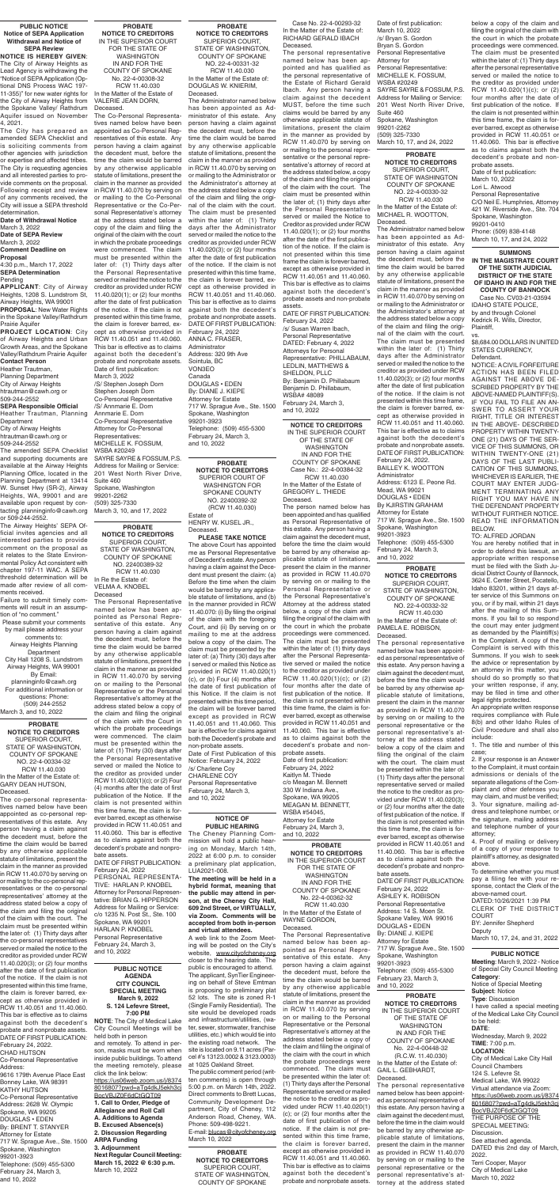**PROBATE NOTICE TO CREDITORS** SUPERIOR COURT OF WASHINGTON FOR SPOKANE COUNTY NO. 22400392-32 (RCW 11.40.030) Estate of

HENRY W. KUSEL JR., Deceased. **PLEASE TAKE NOTICE**

The above Court has appointed me as Personal Representative of Decedent's estate. Any person having a claim against the Decedent must present the claim: (a) Before the time when the claim would be barred by any applicable statute of limitations, and (b) In the manner provided in RCW 11.40.070: (i) By filing the original of the claim with the foregoing Court, and (ii) By serving on or mailing to me at the address below a copy of the claim. The claim must be presented by the later of: (a) Thirty (30) days after I served or mailed this Notice as provided in RCW 11.40.020(1) (c), or (b) Four (4) months after the date of first publication of this Notice. If the claim is not presented within this time period, the claim will be forever barred except as provided in RCW 11.40.051 and 11.40.060. This bar is effective for claims against both the Decedent's probate and non-probate assets. Date of First Publication of this Notice: February 24, 2022 /s/ Charlene Coy CHARLENE COY Personal Representative February 24, March 3, and 10, 2022

**PROBATE NOTICE TO CREDITORS** SUPERIOR COURT, STATE OF WASHINGTON, COUNTY OF SPOKANE NO. 22-4-00334-32 RCW 11.40.030 In the Matter of the Estate of: GARY DEAN HUTSON, Deceased.

The co-personal representatives named below have been appointed as co-personal representatives of this estate. Any person having a claim against the decedent must, before the time the claim would be barred by any otherwise applicable statute of limitations, present the claim in the manner as provided in RCW 11.40.070 by serving on or mailing to the co-personal representatives or the co-personal representatives' attorney at the address stated below a copy of the claim and filing the original of the claim with the court. The claim must be presented within the later of: (1) Thirty days after the co-personal representatives served or mailed the notice to the creditor as provided under RCW 11.40.020(3); or (2) four months after the date of first publication of the notice. If the claim is not presented within this time frame, the claim is forever barred, except as otherwise provided in RCW 11.40.051 and 11.40.060. This bar is effective as to claims against both the decedent's probate and nonprobate assets. DATE OF FIRST PUBLICATION: February 24, 2022. CHAD HUTSON

Co-Personal Representative Address:

9616 179th Avenue Place East Bonney Lake, WA 98391 KATHY HUTSON Co-Personal Representative Address: 2628 W. Olympic Spokane, WA 99205 DOUGLAS • EDEN By: BRENT T. STANYER Attorney for Estate 717 W. Sprague Ave., Ste. 1500 Spokane, Washington 99201-3923 Telephone: (509) 455-5300 February 24, March 3, and 10, 2022

#### **PROBATE NOTICE TO CREDITORS** IN THE SUPERIOR COURT FOR THE STATE OF WASHINGTON IN AND FOR THE COUNTY OF SPOKANE No. 22-4-00308-32 RCW 11.40.030 In the Matter of the Estate of VALERIE JEAN DORN,

Deceased. The Co-Personal Representatives named below have been appointed as Co-Personal Representatives of this estate. Any person having a claim against the decedent must, before the time the claim would be barred by any otherwise applicable statute of limitations, present the claim in the manner as provided in RCW 11.40.070 by serving on or mailing to the Co-Personal Representative or the Co-Personal Representative's attorney at the address stated below a copy of the claim and filing the original of the claim with the court in which the probate proceedings were commenced. The claim must be presented within the later of: (1) Thirty days after the Personal Representative served or mailed the notice to the creditor as provided under RCW 11.40.020(1); or (2) four months after the date of first publication of the notice. If the claim is not presented within this time frame, the claim is forever barred, except as otherwise provided in RCW 11.40.051 and 11.40.060. This bar is effective as to claims against both the decedent's probate and nonprobate assets. Date of first publication: March 3, 2022 /S/ Stephen Joseph Dorn Stephen Joseph Dorn Co-Personal Representative /S/ Annmarie E. Dorn Annmarie E. Dorn Co-Personal Representative Attorney for Co-Personal Representatives: MICHELLE K. FOSSUM, WSBA #20249 SAYRE SAYRE & FOSSUM, P.S. Address for Mailing or Service: 201 West North River Drive, Suite 460 Spokane, Washington 99201-2262 (509) 325-7330 March 3, 10, and 17, 2022

**NOTICE TO CREDITORS** IN THE SUPERIOR COURT OF THE STATE OF WASHINGTON IN AND FOR THE COUNTY OF SPOKANE Case No.: 22-4-00384-32 RCW 11.40.030

In the Matter of the Estate of GREGORY L. THIEDE Deceased.

The person named below has been appointed and has qualified as Personal Representative of this estate. Any person having a claim against the decedent must, before the time the claim would be barred by any otherwise applicable statute of limitations, present the claim in the manner as provided in RCW 11.40.070 by serving on or mailing to the Personal Representative or the Personal Representative's Attorney at the address stated below, a copy of the claim and filing the original of the claim with the court in which the probate proceedings were commenced. The claim must be presented within the later of: (1) thirty days after the Personal Representative served or mailed the notice to the creditor as provided under RCW 11.40.020(1)(c); or (2) four months after the date of first publication of the notice. If

the claim is not presented within this time frame, the claim is forever barred, except as otherwise provided in RCW 11.40.051 and 11.40.060. This bar is effective as to claims against both the decedent's probate and non-

probate assets. Date of first publication: February 24, 2022 Kaitlyn M. Thiede c/o Meagan M. Bennett 330 W Indiana Ave., Spokane, WA 99205 MEAGAN M. BENNETT, WSBA #54045, Attorney for Estate February 24, March 3, and 10, 2022

#### **PROBATE NOTICE TO CREDITORS** SUPERIOR COURT, STATE OF WASHINGTON, COUNTY OF SPOKANE NO. 22-4-00331-32 RCW 11.40.030 In the Matter of the Estate of: DOUGLAS W. KNIERIM,

**Department** City of Airway Heights htrautman@cawh.org or 509-244-2552

Deceased. The Administrator named below has been appointed as Administrator of this estate. Any person having a claim against the decedent must, before the time the claim would be barred by any otherwise applicable statute of limitations, present the claim in the manner as provided in RCW 11.40.070 by serving on or mailing to the Administrator or the Administrator's attorney at the address stated below a copy of the claim and filing the original of the claim with the court. The claim must be presented within the later of: (1) Thirty days after the Administrator served or mailed the notice to the creditor as provided under RCW 11.40.020(3); or (2) four months after the date of first publication of the notice. If the claim is not presented within this time frame, the claim is forever barred, except as otherwise provided in RCW 11.40.051 and 11.40.060. This bar is effective as to claims against both the decedent's probate and nonprobate assets. DATE OF FIRST PUBLICATION: February 24, 2022 ANNA C. FRASER,

Administrator Address: 320 9th Ave Sointula, BC VON3EO Canada DOUGLAS • EDEN By: DIANE J. KIEPE Attorney for Estate 717 W. Sprague Ave., Ste. 1500 Spokane, Washington 99201-3923 Telephone: (509) 455-5300 February 24, March 3, and 10, 2022

**NOTICE TO CREDITORS** SUPERIOR COURT, STATE OF WASHINGTON COUNTY OF SPOKANE NO. 22-4-00330-32 RCW 11.40.030 In the Matter of the Estate of: MICHAEL R. WOOTTON, Deceased.

The Administrator named below has been appointed as Administrator of this estate. Any person having a claim against the decedent must, before the time the claim would be barred by any otherwise applicable statute of limitations, present the claim in the manner as provided in RCW 11.40.070 by serving on or mailing to the Administrator or the Administrator's attorney at the address stated below a copy of the claim and filing the original of the claim with the court. The claim must be presented within the later of: (1) Thirty days after the Administrator served or mailed the notice to the creditor as provided under RCW 11.40.020(3); or (2) four months after the date of first publication of the notice. If the claim is not presented within this time frame, the claim is forever barred, except as otherwise provided in RCW 11.40.051 and 11.40.060. This bar is effective as to claims against both the decedent's probate and nonprobate assets. DATE OF FIRST PUBLICATION: February 24, 2022. BAILLEY K. WOOTTON Administrator Address: 6123 E. Peone Rd. Mead, WA 99021 DOUGLAS • EDEN By KJIRSTIN GRAHAM Attorney for Estate 717 W. Sprague Ave., Ste. 1500 Spokane, Washington 99201-3923 Telephone: (509) 455-5300 February 24, March 3, and 10, 2022

**PROBATE** 

**NOTICE TO CREDITORS** SUPERIOR COURT, STATE OF WASHINGTON, COUNTY OF SPOKANE NO. 22-4-00332-32 RCW 11.40.030 In the Matter of the Estate of: PAMELA E. ROBISON, Deceased.

The personal representative named below has been appointed as personal representative of this estate. Any person having a claim against the decedent must, before the time the claim would be barred by any otherwise applicable statute of limitations, present the claim in the manner as provided in RCW 11.40.070 by serving on or mailing to the personal representative or the personal representative's attorney at the address stated below a copy of the claim and filing the original of the claim with the court. The claim must be presented within the later of: (1) Thirty days after the personal representative served or mailed the notice to the creditor as provided under RCW 11.40.020(3); or (2) four months after the date of first publication of the notice. If the claim is not presented within this time frame, the claim is forever barred, except as otherwise provided in RCW 11.40.051 and 11.40.060. This bar is effective as to claims against both the decedent's probate and nonprobate assets. DATE OF FIRST PUBLICATION: February 24, 2022 ASHLEY K. ROBISON Personal Representative Address: 14 S. Moen St. Spokane Valley, WA 99016 DOUGLAS • EDEN By: DIANE J. KIEPE Attorney for Estate 717 W. Sprague Ave., Ste. 1500 Spokane, Washington 99201-3923 Telephone: (509) 455-5300 February 23, March 3, and 10, 2022

**PROBATE NOTICE TO CREDITORS** SUPERIOR COURT, STATE OF WASHINGTON, COUNTY OF SPOKANE NO. 22400389-32 RCW 11.40.030 In Re the Estate of: VELMA A. KNOBEL Deceased

The Personal Representative named below has been appointed as Personal Representative of this estate. Any person having a claim against the decedent must, before the time the claim would be barred by any otherwise applicable statute of limitations, present the claim in the manner as provided in RCW 11.40.070 by serving on or mailing to the Personal Representative or the Personal Representative's attorney at the address stated below a copy of the claim and filing the original of the claim with the Court in which the probate proceedings were commenced. The claim must be presented within the later of: (1) Thirty (30) days after the Personal Representative served or mailed the Notice to the creditor as provided under RCW 11.40.020(1)(c); or (2) Four (4) months after the date of first publication of the Notice. If the claim is not presented within this time frame, the claim is forever barred, except as otherwise provided in RCW 11.40.051 and 11.40.060. This bar is effective as to claims against both the decedent's probate and nonpro-

bate assets. DATE OF FIRST PUBLICATION: February 24, 2022 PERSONAL REPRESENTA-TIVE: HARLAN P. KNOBEL Attorney for Personal Representative: BRIAN G. HIPPERSON Address for Mailing or Service: c/o 1235 N. Post St., Ste. 100 Spokane, WA 99201 HARLAN P. KNOBEL Personal Representative February 24, March 3, and 10, 2022

#### **PUBLIC NOTICE Notice of SEPA Application Withdrawal and Notice of SEPA Review**

**NOTICE IS HEREBY GIVEN**: The City of Airway Heights as Lead Agency is withdrawing the "Notice of SEPA Application (Optional DNS Process WAC 197- 11-355)" for new water rights for the City of Airway Heights from the Spokane Valley/ Rathdrum Aquifer issued on November 4, 2021.

The City has prepared an amended SEPA Checklist and is soliciting comments from other agencies with jurisdiction or expertise and affected tribes. The City is requesting agencies and all interested parties to provide comments on the proposal. Following receipt and review of any comments received, the City will issue a SEPA threshold determination.

**Date of Withdrawal Notice** March 3, 2022 **Date of SEPA Review** March 3, 2022 **Comment Deadline on Proposal** 4:30 p.m., March 17, 2022 **SEPA Determination** Pending

**APPLICANT**: City of Airway Heights, 1208 S. Lundstrom St, Airway Heights, WA 99001 **PROPOSAL**: New Water Rights in the Spokane Valley/Rathdrum Prairie Aquifer

**PROBATE**  Date of first publication: March 10, 2022 /s/ Bryan S. Gordon Bryan S. Gordon Personal Representative Attorney for Personal Representative: MICHELLE K. FOSSUM, WSBA #20249 SAYRE SAYRE & FOSSUM, P.S. Address for Mailing or Service: 201 West North River Drive, Suite 460 Spokane, Washington 99201-2262 (509) 325-7330 March 10, 17, and 24, 2022

**PROJECT LOCATION**: City of Airway Heights and Urban Growth Areas, and the Spokane Valley/Rathdrum Prairie Aquifer **Contact Person**

Heather Trautman, Planning Department City of Airway Heights htrautman@cawh.org or 509-244-2552

**SEPA Responsible Official** Heather Trautman, Planning

The amended SEPA Checklist and supporting documents are available at the Airway Heights Planning Office, located in the Planning Department at 13414 W. Sunset Hwy (SR-2), Airway Heights, WA, 99001 and are available upon request by contacting planninginfo@cawh.org or 509-244-2552.

The Airway Heights' SEPA Official invites agencies and all interested parties to provide comment on the proposal as it relates to the State Environmental Policy Act consistent with chapter 197-11 WAC. A SEPA threshold determination will be made after review of all comments received.

Failure to submit timely comments will result in an assumption of "no comment."

Please submit your comments by mail please address your comments to: Airway Heights Planning Department City Hall 1208 S. Lundstrom

Airway Heights, WA 99001 By Email: planninginfo@cawh.org For additional information or

questions: Phone: (509) 244-2552 March 3, and 10, 2022

> **PROBATE NOTICE TO CREDITORS** SUPERIOR COURT, STATE OF WASHINGTON, COUNTY OF SPOKANE

#### **PUBLIC NOTICE AGENDA CITY COUNCIL SPECIAL MEETING March 9, 2022 S. 124 Lefevre Street, 7:00 PM**

**NOTE**: The City of Medical Lake City Council Meetings will be held both in person

and remotely. To attend in person, masks must be worn when inside public buildings. To attend the meeting remotely, please click the link below:

https://us06web.zoom.us/j/8374 8016807?pwd=aTg4dkJ5ekh3cj BocVBJZ0F6dCtGQT09 **1. Call to Order, Pledge of Allegiance and Roll Call A. Additions to Agenda B. Excused Absence(s) 2. Discussion Regarding ARPA Funding 3. Adjournment Next Regular Council Meeting: March 15, 2022 @ 6:30 p.m.** March 10, 2022

#### **PROBATE NOTICE TO CREDITORS**

IN THE SUPERIOR COURT OF THE STATE OF WASHINGTON IN AND FOR THE COUNTY OF SPOKANE No. 22-4-00448-32 (R.C.W. 11.40.030) In the Matter of the Estate of: GAIL L. GEBHARDT, Deceased.

The personal representative named below has been appointed as personal representative of this estate. Any person having a claim against the decedent must, before the time in the claim would be barred by any otherwise applicable statute of limitations, present the claim in the manner as provided in RCW 11.40.070 by serving on or mailing to the personal representative or the personal representative's attorney at the address stated

#### **NOTICE OF PUBLIC HEARING**

The Cheney Planning Commission will hold a public hearing on Monday, March 14th, 2022 at 6:00 p.m. to consider a preliminary plat application, LUA2021-008.

**The meeting will be held in a hybrid format, meaning that the public may attend in person, at the Cheney City Hall, 609 2nd Street, or VIRTUALLY, via Zoom. Comments will be accepted from both in-person and virtual attendees.**

A web link to the Zoom Meeting will be posted on the City's website, www.cityofcheney.org closer to the hearing date. The public is encouraged to attend. The applicant, SynTier Engineering on behalf of Steve Emtman is proposing to preliminary plat 52 lots. The site is zoned R-1 (Single Family Residential). The site would be developed roads and infrastructure/utilities, (water, sewer, stormwater, franchise utilities, etc.) which would tie into the existing road network. The site is located on 9.11 acres (Parcel #'s 13123.0002 & 3123.0003) at 1025 Oakland Street.

The public comment period (written comments) is open through 5:00 p.m. on March 14th, 2022. Direct comments to Brett Lucas, Community Development Department, City of Cheney, 112 Anderson Road, Cheney, WA. Phone: 509-498-9221. E-mail: blucas@cityofcheney.org March 10, 2022

**PROBATE NOTICE TO CREDITORS** IN THE SUPERIOR COURT FOR THE STATE OF WASHINGTON IN AND FOR THE COUNTY OF SPOKANE No. 22-4-00362-32 RCW 11.40.030 In the Matter of the Estate of WAYNE GORDON, Deceased.

The Personal Representative named below has been appointed as Personal Representative of this estate. Any person having a claim against the decedent must, before the time the claim would be barred by any otherwise applicable statute of limitations, present the claim in the manner as provided in RCW 11.40.070 by serving on or mailing to the Personal Representative or the Personal Representative's attorney at the address stated below a copy of the claim and filing the original of the claim with the court in which the probate proceedings were commenced. The claim must be presented within the later of: (1) Thirty days after the Personal Representative served or mailed the notice to the creditor as provided under RCW 11.40.020(1) (c); or (2) four months after the date of first publication of the notice. If the claim is not presented within this time frame, the claim is forever barred, except as otherwise provided in RCW 11.40.051 and 11.40.060. This bar is effective as to claims against both the decedent's probate and nonprobate assets.

below a copy of the claim and filing the original of the claim with the court in which the probate proceedings were commenced. The claim must be presented within the later of: (1) Thirty days after the personal representative served or mailed the notice to the creditor as provided under RCW 11.40.020(1)(c); or (2) four months after the date of first publication of the notice. If the claim is not presented within this time frame, the claim is forever barred, except as otherwise provided in RCW 11.40.051 or 11.40.060. This bar is effective as to claims against both the decedent's probate and nonprobate assets. Date of first publication: March 10, 2022 Lori L. Atwood Personal Representative C/O Neil E. Humphries, Attorney 421 W. Riverside Ave., Ste. 704 Spokane, Washington 99201-0410

Phone: (509) 838-4148 March 10, 17, and 24, 2022

**SUMMONS**

**IN THE MAGISTRATE COURT OF THE SIXTH JUDICIAL DISTRICT OF THE STATE OF IDAHO IN AND FOR THE COUNTY OF BANNOCK**

Case No. CV03-21-03594 IDAHO STATE POLICE, by and through Colonel Kedrick R. Wills, Director, Plaintiff,

vs. \$8,684.00 DOLLARS IN UNITED STATES CURRENCY, Defendant.

NOTICE: A CIVIL FORFEITURE ACTION HAS BEEN FILED AGAINST THE ABOVE DE-SCRIBED PROPERTY BY THE ABOVE-NAMED PLAINTIFF(S). IF YOU FAIL TO FILE AN AN-SWER TO ASSERT YOUR RIGHT, TITLE OR INTEREST IN THE ABOVE- DESCRIBED PROPERTY WITHIN TWENTY-ONE (21) DAYS OF THE SER-VICE OF THIS SUMMONS, OR WITHIN TWENTY-ONE (21) DAYS OF THE LAST PUBLI-CATION OF THIS SUMMONS, WHICHEVER IS EARLIER, THE COURT MAY ENTER JUDG-MENT TERMINATING ANY RIGHT YOU MAY HAVE IN THE DEFENDANT PROPERTY WITHOUT FURTHER NOTICE. READ THE INFORMATION BELOW.

TO: ALFRED JORDAN You are hereby notified that in order to defend this lawsuit, an appropriate written response must be filed with the Sixth Judicial District County of Bannock, 3624 E. Center Street, Pocatello, Idaho 83201, within 21 days after service of this Summons on you, or if by mail, within 21 days after the mailing of this Summons. If you fail to so respond the court may enter judgment as demanded by the Plaintiff(s) in the Complaint. A copy of the Complaint is served with this Summons. If you wish to seek the advice or representation by an attorney in this matter, you should do so promptly so that your written response, if any, may be filed in time and other

legal rights protected.

An appropriate written response requires compliance with Rule 8(b) and other Idaho Rules of Civil Procedure and shall also include:

1. The title and number of this case;

2. If your response is an Answer to the Complaint, it must contain admissions or denials of the separate allegations of the Complaint and other defenses you may claim, and must be verified; 3. Your signature, mailing address and telephone number, or the signature, mailing address and telephone number of your attorney;

4. Proof of mailing or delivery of a copy of your response to plaintiff's attorney, as designated above.

To determine whether you must pay a filing fee with your response, contact the Clerk of the above-named court. DATED:10/26/2021 1:39 PM CLERK OF THE DISTRICT COURT BY: Jennifer Shepherd **Deputy** March 10, 17, 24, and 31, 2022

#### **PUBLIC NOTICE**

**Meeting**: March 9, 2022 - Notice of Special City Council Meeting **Category**: Notice of Special Meeting **Subject**: Notice **Type**: Discussion I have called a special meeting of the Medical Lake City Council to be held: **DATE**: Wednesday, March 9, 2022 **TIME**: 7:00 p.m. **LOCATION**: City of Medical Lake City Hall Council Chambers 124 S. Lefevre St. Medical Lake, WA 99022 Virtual attendance via Zoom: https://us06web.zoom.us/j/8374 8016807?pwd=aTg4dkJ5ekh3cj BocVBJZ0F6dCtGQT09 THE PURPOSE OF THE SPECIAL MEETING: Discussion. See attached agenda. DATED this 2nd day of March, 2022. Terri Cooper, Mayor City of Medical Lake March 10, 2022

Case No. 22-4-00293-32 In the Matter of the Estate of: RICHARD GERALD IBACH Deceased.

The personal representative named below has been appointed and has qualified as the personal representative of the Estate of Richard Gerald Ibach. Any person having a claim against the decedent MUST, before the time such claims would be barred by any otherwise applicable statute of limitations, present the claim in the manner as provided by RCW 11.40.070 by serving on or mailing to the personal representative or the personal representative's attorney of record at the address stated below, a copy of the claim and filing the original of the claim with the court. The claim must be presented within the later of; (1) thirty days after the Personal Representative served or mailed the Notice to Creditor as provided under RCW 11.40.020(1); or (2) four months after the date of the first publication of the notice. If the claim is not presented within this time frame the claim is forever barred, except as otherwise provided in RCW 11.40.051 and 11.40.060. This bar is effective as to claims against both the decedent's probate assets and non-probate

assets. DATE OF FIRST PUBLICATION: February 24, 2022 /s/ Susan Warren Ibach, Personal Representative DATED: February 4, 2022 Attorneys for Personal Representative: PHILLABAUM, LEDLIN, MATTHEWS & SHELDON, PLLC By: Benjamin D. Phillabaum Benjamin D. Phillabaum, WSBA# 48089 February 24, March 3, and 10, 2022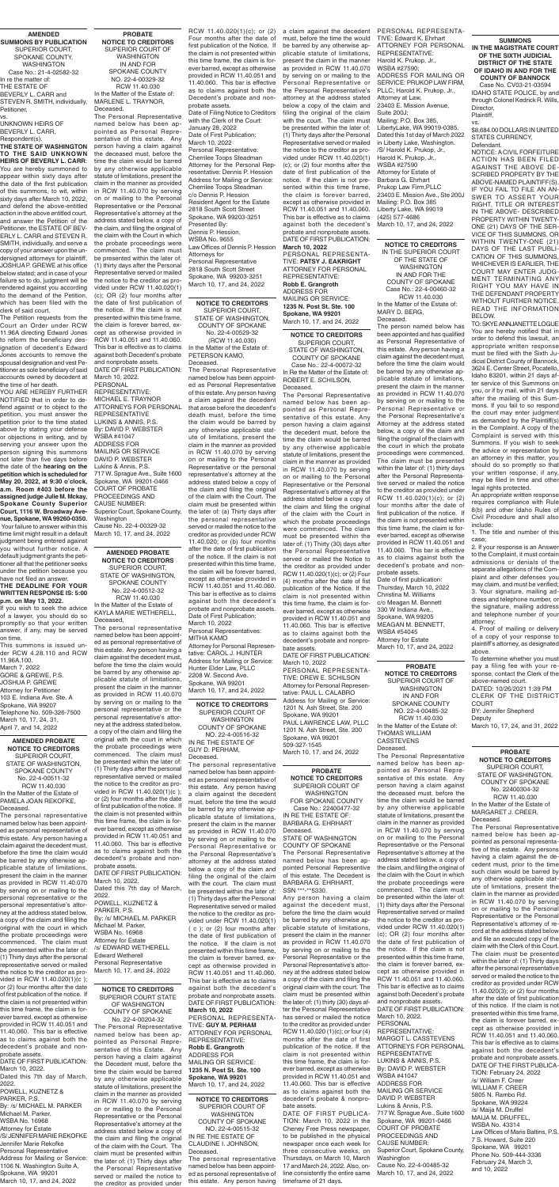#### **AMENDED SUMMONS BY PUBLICATION**

SUPERIOR COURT, SPOKANE COUNTY WASHINGTON Case No.: 21-4-02582-32 In re the matter of: THE ESTATE OF BEVERLY L. CARR and STEVEN R. SMITH, individually, Petitioner, vs.

UNKNOWN HEIRS OF BEVERLY L. CARR,

Respondent(s).

**THE STATE OF WASHINGTON TO THE SAID UNKNOWN HEIRS OF BEVERLY L. CARR**: You are hereby summoned to appear within sixty days after the date of the first publication of this summons, to wit, within sixty days after March 10, 2022. and defend the above-entitled action in the above entitled court, and answer the Petition of the Petitioner, the ESTATE OF BEV-ERLY L. CARR and STEVEN R. SMITH, individually, and serve a copy of your answer upon the undersigned attorneys for plaintiff, JOSHUA P. GREWE at his office below stated; and in case of your failure so to do, judgment will be rendered against you according to the demand of the Petition, which has been filed with the clerk of said court.

The Petition requests from the Court an Order under RCW 11.96A directing Edward Jones to reform the beneficiary designation of decedent's Edward Jones accounts to remove the spousal designation and vest Petitioner as sole beneficiary of said accounts owned by decedent at the time of her death.

YOU ARE HEREBY FURTHER NOTIFIED that in order to defend against or to object to the petition, you must answer the petition prior to the time stated above by stating your defense or objections in writing, and by serving your answer upon the person signing this summons not later than five days before the date of the **hearing on the petition which is scheduled for May 20, 2022, at 9:30 o'clock, a.m. Room #403 before the assigned judge Julie M. Mckay, Spokane County Superior Court, 1116 W. Broadway Avenue, Spokane, WA 99260-0350.**  Your failure to answer within this time limit might result in a default judgment being entered against you without further notice. A default judgment grants the petitioner all that the petitioner seeks under the petition because you have not filed an answer.

#### **THE DEADLINE FOR YOUR WRITTEN RESPONSE IS: 5:00 p.m. on May 13, 2022.**

If you wish to seek the advice of a lawyer, you should do so promptly so that your written answer, if any, may be served on time.

This summons is issued under RCW 4.28.110 and RCW 11.96A.100.

March 7, 2022 GORE & GREWE, P.S. JOSHUA P. GREWE

Attorney for Petitioner 103 E. Indiana Ave. Ste. A Spokane, WA 99207 Telephone No. 509-326-7500 March 10, 17, 24, 31, April 7, and 14, 2022

**NOTICE TO CREDITORS** SUPERIOR COURT, STATE OF WASHINGTON, COUNTY OF SPOKANE No. 22-4-00529-32 (RCW 11.40.030) In the Matter of the Estate of: PETERSON KAMO, Deceased.

The Personal Representative named below has been appointed as Personal Representative of this estate. Any person having a claim against the decedent that arose before the decedent's death must, before the time the claim would be barred by any otherwise applicable statute of limitations, present the claim in the manner as provided in RCW 11.40.070 by serving on or mailing to the Personal Representative or the personal representative's attorney at the address stated below a copy of the claim and filing the original of the claim with the Court. The claim must be presented within the later of: (a) Thirty days after the personal representative served or mailed the notice to the creditor as provided under RCW 11.40.020; or (b) four months after the date of first publication of the notice. If the claim is not presented within this time frame, the claim will be forever barred, except as otherwise provided in RCW 11.40.051 and 11.40.060. This bar is effective as to claims against both the decedent's probate and nonprobate assets. Date of First Publication: March 10, 2022

Personal Representatives: MITHA KAMO Attorney for Personal Representative: CAROL J. HUNTER Address for Mailing or Service: Hunter Elder Law, PLLC 2208 W. Second Ave. Spokane, WA 99201 March 10, 17, and 24, 2022

**NOTICE TO CREDITORS** SUPERIOR COURT STATE OF WASHINGTON COUNTY OF SPOKANE No. 22-4-00204-32 The Personal Representative named below has been appointed as Personal Representative of this Estate. Any person having a claim against the Decedent must, before the time the claim would be barred by any otherwise applicable statute of limitations, present the claim in the manner as provided in RCW 11.40.070 by serving on or mailing to the Personal Representative or the Personal Representative's attorney at the address stated below a copy of the claim and filing the original of the claim with the Court. The claim must be presented within the later of: (1) Thirty days after the Personal Representative served or mailed the notice to the creditor as provided under

**AMENDED PROBATE NOTICE TO CREDITORS** SUPERIOR COURT, STATE OF WASHINGTON, SPOKANE COUNTY No. 22-4-00512-32 RCW 11.40.030

In the Matter of the Estate of KAYLA MARIE WETHERELL, Deceased,

The personal representative named below has been appointed as personal representative of this estate. Any person having a claim against the decedent must, before the time the claim would be barred by any otherwise applicable statute of limitations, present the claim in the manner as provided in RCW 11.40.070

by serving on or mailing to the personal representative or the personal representative's attorney at the address stated below, a copy of the claim and filing the original with the court in which the probate proceedings were commenced. The claim must be presented within the later of: (1) Thirty days after the personal representative served or mailed the notice to the creditor as provided in RCW 11.40.020(1)(c ); or (2) four months after the date of first publication of the notice. If the claim is not presented within this time frame, the claim is forever barred, except as otherwise provided in RCW 11.40.051 and 11.40.060. This bar is effective as to claims against both the decedent's probate and nonprobate assets.

DATE OF FIRST PUBLICATION: March 10, 2022.

Dated this 7th day of March, 2022. POWELL, KUZNETZ & PARKER, P.S. By: /s/ MICHAEL M. PARKER Michael M. Parker, WSBA No. 16968 Attorney for Estate /s/ EDWARD WETHERELL Edward Wetherell Personal Representative March 10, 17, and 24, 2022

**PROBATE NOTICE TO CREDITORS** SUPERIOR COURT OF WASHINGTON IN AND FOR SPOKANE COUNTY NO. 22-4-00329-32 RCW 11.40.030 In the Matter of the Estate of: MARLENE L. TRAYNOR, Deceased.

The Personal Representative named below has been appointed as Personal Representative of this estate. Any person having a claim against the deceased must, before the time the claim would be barred by any otherwise applicable statute of limitations, present the claim in the manner as provided in RCW 11.40.070 by serving on or mailing to the Personal Representative or the Personal Representative's attorney at the address stated below, a copy of the claim, and filing the original of the claim with the Court in which the probate proceedings were commenced. The claim must be presented within the later of: (1) thirty days after the Personal Representative served or mailed the notice to the creditor as provided under RCW 11.40.020(1) (c); OR (2) four months after the date of first publication of the notice. If the claim is not presented within this time frame, the claim is forever barred, except as otherwise provided in RCW 11.40.051 and 11.40.060. This bar is effective as to claims against both Decedent's probate and nonprobate assets. DATE OF FIRST PUBLICATION: March 10, 2022.

PERSONAL REPRESENTATIVE: MICHAEL E. TRAYNOR ATTORNEYS FOR PERSONAL REPRESENTATIVE LUKINS & ANNIS, P.S. By: DAVID P. WEBSTER WSBA #41047 ADDRESS FOR MAILING OR SERVICE DAVID P. WEBSTER Lukins & Annis, P.S. 717 W. Sprague Ave., Suite 1600 Spokane, WA 99201-0466 COURT OF PROBATE PROCEEDINGS AND CAUSE NUMBER: Superior Court, Spokane County, **Washington** Cause No. 22-4-00329-32 March 10, 17, and 24, 2022

#### **NOTICE TO CREDITORS** SUPERIOR COURT OF WASHINGTON COUNTY OF SPOKANE NO. 22-4-00516-32 IN RE THE ESTATE OF

GUY D. PERHAM, Deceased.

The personal representative named below has been appointed as personal representative of this estate. Any person having a claim against the decedent must, before the time the would be barred by any otherwise applicable statute of limitations, present the claim in the manner as provided in RCW 11.40.070 by serving on or mailing to the Personal Representative or the Personal Representative's attorney at the address stated below a copy of the claim and filing the original of the claim with the court. The claim must be presented within the later of: (1) Thirty days after the Personal Representative served or mailed the notice to the creditor as provided under RCW 11.40.020(1) ( c ); or (2) four months after the date of first publication of the notice. If the claim is not presented within this time frame, the claim is forever barred, except as otherwise provided in RCW 11.40.051 and 11.40.060. This bar is effective as to claims against both the decedent's probate and nonprobate assets. DATE OF FIRST PUBLICATION: **March 10, 2022** PERSONAL REPRESENTA-TIVE: **GUY M. PERHAM** ATTORNEY FOR PERSONAL REPRESENTATIVE: **Robb E. Grangroth** ADDRESS FOR MAILING OR SERVICE: **1235 N. Post St. Ste. 100 Spokane, WA 99201**

March 10, 17, and 24, 2022

**NOTICE TO CREDITORS** SUPERIOR COURT OF WASHINGTON COUNTY OF SPOKANE NO. 22-4-00515-32 IN RE THE ESTATE OF CLAUDINE I. JOHNSON, Deceased.

The personal representative named below has been appointed as personal representative of this estate. Any person having

#### **AMENDED PROBATE NOTICE TO CREDITORS** SUPERIOR COURT, STATE OF WASHINGTON, SPOKANE COUNTY No. 22-4-00511-32 RCW 11.40.030 In the Matter of the Estate of PAMELA JOAN REKOFKE, Deceased.

The personal representative named below has been appointed as personal representative of this estate. Any person having a claim against the decedent must, before the time the claim would be barred by any otherwise applicable statute of limitations, present the claim in the manner as provided in RCW 11.40.070 by serving on or mailing to the personal representative or the personal representative's attorney at the address stated below, a copy of the claim and filing the original with the court in which the probate proceedings were commenced. The claim must be presented within the later of: (1) Thirty days after the personal representative served or mailed the notice to the creditor as provided in RCW 11.40.020(1)(c ); or (2) four months after the date of first publication of the notice. If the claim is not presented within this time frame, the claim is forever barred, except as otherwise provided in RCW 11.40.051 and 11.40.060. This bar is effective as to claims against both the decedent's probate and nonprobate assets.

DATE OF FIRST PUBLICATION: March 10, 2022. Dated this 7th day of March, 2022. POWELL, KUZNETZ & PARKER, P.S. By: /s/ MICHAEL M. PARKER Michael M. Parker, WSBA No. 16968

Attorney for Estate /S/ JENNIFER MARIE REKOFKE Jennifer Marie Rekofke Personal Representative Address for Mailing or Service: 1106 N. Washington Suite A, Spokane, WA 99201 March 10, 17, and 24, 2022

#### **PROBATE NOTICE TO CREDITORS**

RCW 11.40.020(1)(c); or (2) a claim against the decedent PERSONAL REPRESENTA-TIVE: Edward K. Ehrhart ATTORNEY FOR PERSONAL REPRESENTATIVE: Harold K. Prukop, Jr., WSBA #27590; ADDRESS FOR MAILING OR SERVICE: PRUKOP LAW FIRM, PLLC; Harold K. Prukop, Jr., Attorney at Law, 23403 E. Mission Avenue, Suite 200J; Mailing: P.O. Box 385, LibertyLake, WA 99019-0385. Dated this 1st day of March 2022 in Liberty Lake, Washington. /S/ Harold K. Prukop, Jr., Harold K. Prukop, Jr., WSBA #27590 Attorney for Estate of Barbara G. Ehrhart Prukop Law Firm,PLLC 23403 E. Mission Ave., Ste 200J Mailing: P.O. Box 385 Liberty Lake, WA 99019 (425) 577-4686

> SUPERIOR COURT OF WASHINGTON FOR SPOKANE COUNTY Case No.: 22400477-32 IN RE THE ESTATE OF:

BARBARA G. EHRHART Deceased. STATE OF WASHINGTON

COUNTY OF SPOKANE The Personal Representative named below has been appointed Personal Representive of this estate. The Decedent is BARBARA G. EHRHART, SSN \*\*\*-\*\*5330.

Any person having a claim against the decedent must, before the time the claim would be barred by any otherwise applicable statute of limitations, present the claim in the manner as provided in RCW 11.40.070 by serving on or mailing to the Personal Representative or the Personal Representative's attorney at the address stated below a copy of the claim and filing the original claim with the court. The claim must be presented within the later of: (1) thirty (30) days after the Personal Representative has served or mailed the notice to the creditor as provided under RCW 11.40.020 (1)(c); or four (4) months after the date of first publication of the notice. If the claim is not presented within this time frame, the claim is forever barred, except as otherwise provided in RCW 11.40.051 and 11.40.060. This bar is effective as to claims against both the decedent's probate & nonprobate assets.

DATE OF FIRST PUBLICA-TION: March 10, 2022 in the Cheney Free Press newspaper, to be published in the physical newspaper once each week for three consecutive weeks, on Thursdays, on March 10, March 17 and March 24, 2022. Also, online consistently the entire same timeframe of 21 days.

#### **SUMMONS IN THE MAGISTRATE COURT OF THE SIXTH JUDICIAL DISTRICT OF THE STATE OF IDAHO IN AND FOR THE COUNTY OF BANNOCK**

Case No. CV03-21-03594 IDAHO STATE POLICE, by and through Colonel Kedrick R. Wills, Director, Plaintiff,

vs. \$8,684.00 DOLLARS IN UNITED STATES CURRENCY, Defendant.

NOTICE: A CIVIL FORFEITURE ACTION HAS BEEN FILED AGAINST THE ABOVE DE-SCRIBED PROPERTY BY THE ABOVE-NAMED PLAINTIFF(S). IF YOU FAIL TO FILE AN AN-SWER TO ASSERT YOUR RIGHT, TITLE OR INTEREST IN THE ABOVE- DESCRIBED PROPERTY WITHIN TWENTY-ONE (21) DAYS OF THE SER-VICE OF THIS SUMMONS, OR WITHIN TWENTY-ONE (21) DAYS OF THE LAST PUBLI-CATION OF THIS SUMMONS, WHICHEVER IS EARLIER, THE COURT MAY ENTER JUDG-MENT TERMINATING ANY RIGHT YOU MAY HAVE IN THE DEFENDANT PROPERTY WITHOUT FURTHER NOTICE. READ THE INFORMATION BELOW.

TO: SKYE ANNJANETTE LOGUE You are hereby notified that in order to defend this lawsuit, an appropriate written response must be filed with the Sixth Judicial District County of Bannock, 3624 E. Center Street, Pocatello, Idaho 83201, within 21 days after service of this Summons on you, or if by mail, within 21 days after the mailing of this Summons. If you fail to so respond the court may enter judgment as demanded by the Plaintiff(s) in the Complaint. A copy of the Complaint is served with this Summons. If you wish to seek the advice or representation by an attorney in this matter, you should do so promptly so that your written response, if any, may be filed in time and other legal rights protected.

An appropriate written response requires compliance with Rule 8(b) and other Idaho Rules of Civil Procedure and shall also include:

1. The title and number of this case;

2. If your response is an Answer to the Complaint, it must contain admissions or denials of the separate allegations of the Complaint and other defenses you may claim, and must be verified; 3. Your signature, mailing address and telephone number, or the signature, mailing address and telephone number of your attorney;

4. Proof of mailing or delivery of a copy of your response to plaintiff's attorney, as designated above.

To determine whether you must pay a filing fee with your response, contact the Clerk of the above-named court. DATED: 10/26/2021 1:39 PM

CLERK OF THE DISTRICT

COURT BY: Jennifer Shepherd Deputy March 10, 17, 24, and 31, 2022

**NOTICE TO CREDITORS** IN THE SUPERIOR COURT OF THE STATE OF WASHINGTON IN AND FOR THE COUNTY OF SPOKANE Case No.: 22-4-00460-32 RCW 11.40.030 In the Matter of the Estate of: MARY D. BERG, Deceased.

The person named below has been appointed and has qualified as Personal Representative of this estate. Any person having a claim against the decedent must, before the time the claim would be barred by any otherwise applicable statute of limitations, present the claim in the manner as provided in RCW 11.40.070 by serving on or mailing to the Personal Representative or the Personal Representative's Attorney at the address stated below, a copy of the claim and filing the original of the claim with the court in which the probate proceedings were commenced. The claim must be presented within the later of: (1) thirty days after the Personal Representative served or mailed the notice to the creditor as provided under RCW 11.40.020(1)(c); or (2) four months after the date of first publication of the notice. If the claim is not presented within this time frame, the claim is forever barred, except as otherwise provided in RCW 11.40.051 and 11.40.060. This bar is effective as to claims against both the decedent's probate and nonprobate assets. Date of first publication:

Thursday, March 10, 2022 Christina M. Williams c/o Meagan M. Bennett 330 W Indiana Ave., Spokane, WA 99205 MEAGAN M. BENNETT, WSBA #54045 Attorney for Estate March 10, 17, and 24, 2022

**NOTICE TO CREDITORS** SUPERIOR COURT, STATE OF WASHINGTON, COUNTY OF SPOKANE

Case No.: 22-4-00072-32 In Re the Matter of the Estate of: ROBERT E. SCHILSON, Deceased.

The Personal Representative named below has been appointed as Personal Representative of this estate. Any person having a claim against the decedent must, before the time the claim would be barred by any otherwise applicable statute of limitations, present the claim in the manner as provided in RCW 11.40.070 by serving on or mailing to the Personal Representative or the Personal Representative's attorney at the address stated below a copy of the claim and filing the original of the claim with the Court in which the probate proceedings were commenced. The claim must be presented within the later of: (1) Thirty (30) days after the Personal Representative served or mailed the Notice to the creditor as provided under RCW 11.40.020(1)(c); or (2) Four (4) months after the date of fist publication of the Notice. If the claim is not presented within this time frame, the claim is forever barred, except as otherwise provided in RCW 11.40.051 and 11.40.060. This bar is effective as to claims against both the decedent's probate and nonprobate assets.

DATE OF FIRST PUBLICATION: March 10, 2022

PERSONAL REPRESENTA-TIVE: DREW E. SCHILSON Attorney for Personal Representative: PAUL L. CALABRO

Address for Mailing or Service: 1201 N. Ash Street, Ste. 200 Spokane, WA 99201 PAUL LAWRENCE LAW, PLLC 1201 N. Ash Street, Ste. 200 Spokane, WA 99201 509-327-1545 March 10, 17, and 24, 2022

**PROBATE NOTICE TO CREDITORS** SUPERIOR COURT OF WASHINGTON IN AND FOR

SPOKANE COUNTY NO. 22-4-00485-32 RCW 11.40.030 In the Matter of the Estate of: THOMAS WILLIAM CASSTEVENS Deceased. The Personal Representative

named below has been appointed as Personal Representative of this estate. Any person having a claim against the deceased must, before the time the claim would be barred by any otherwise applicable statute of limitations, present the claim in the manner as provided in RCW 11.40.070 by serving on or mailing to the Personal Representative or the Personal Representative's attorney at the address stated below, a copy of the claim, and filing the original of the claim with the Court in which the probate proceedings were commenced. The claim must be presented within the later of: (1) thirty days after the Personal Representative served or mailed the notice to the creditor as provided under RCW 11.40.020(1) (c); OR (2) four months after the date of first publication of the notice. If the claim is not presented within this time frame, the claim is forever barred, except as otherwise provided in RCW 11.40.051 and 11.40.060. This bar is effective as to claims against both Decedent's probate and nonprobate assets. DATE OF FIRST PUBLICATION: March 10, 2022. PERSONAL REPRESENTATIVE: MARGOT L. CASSTEVENS ATTORNEYS FOR PERSONAL REPRESENTATIVE LUKINS & ANNIS, P.S. By: DAVID P. WEBSTER WSBA #41047 ADDRESS FOR MAILING OR SERVICE DAVID P. WEBSTER Lukins & Annis, P.S. 717 W. Sprague Ave., Suite 1600 Spokane, WA 99201-0466 COURT OF PROBATE PROCEEDINGS AND CAUSE NUMBER: Superior Court, Spokane County, Washington Cause No. 22-4-00485-32 March 10, 17, and 24, 2022

Four months after the date of first publication of the Notice. If the claim is not presented within this time frame, the claim is forever barred, except as otherwise provided in RCW 11.40.051 and 11.40.060. This bar is effective as to claims against both the Decedent's probate and nonprobate assets.

Date of Filing Notice to Creditors with the Clerk of the Court: January 28, 2022 Date of First Publication: March 10, 2022 Personal Representative: Cherrilee Toops Steadman Attorney for the Personal Representative: Dennis P. Hession Address for Mailing or Service: Cherrilee Toops Steadman c/o Dennis P. Hession Resident Agent for the Estate 2818 South Scott Street Spokane, WA 99203-3251 Presented By: Dennis P. Hession, WSBA No. 9655 Law Offices of Dennis P. Hession Attorneys for Personal Representative 2818 South Scott Street Spokane, WA 99203-3251 March 10, 17, and 24, 2022

must, before the time the would be barred by any otherwise applicable statute of limitations, present the claim in the manner as provided in RCW 11.40.070 by serving on or mailing to the Personal Representative or the Personal Representative's attorney at the address stated below a copy of the claim and filing the original of the claim with the court. The claim must be presented within the later of: (1) Thirty days after the Personal Representative served or mailed the notice to the creditor as provided under RCW 11.40.020(1) (c); or (2) four months after the date of first publication of the notice. If the claim is not presented within this time frame, the claim is forever barred, except as otherwise provided in RCW 11.40.051 and 11.40.060. This bar is effective as to claims against both the decedent's probate and nonprobate assets. DATE OF FIRST PUBLICATION: **March 10, 2022**

PERSONAL REPRESENTA-TIVE: **PATSY J. EAKRIGHT** ATTORNEY FOR PERSONAL REPRESENTATIVE: **Robb E. Grangroth** ADDRESS FOR MAILING OR SERVICE: **1235 N. Post St. Ste. 100 Spokane, WA 99201** March 10, 17, and 24, 2022

March 10, 17, and 24, 2022

#### **PROBATE NOTICE TO CREDITORS** SUPERIOR COURT, STATE OF WASHINGTON, COUNTY OF SPOKANE No. 22400304-32 RCW 11.40.030 In the Matter of the Estate of MARGARET J. CREER, Deceased.

The Personal Representative named below has been appointed as personal representative of this estate. Any persons having a claim against the decedent must, prior to the time such claim would be barred by any otherwise applicable statute of limitations, present the claim in the manner as provided in RCW 11.40.070 by serving on or mailing to the Personal Representative or the Personal Representative's attorney of record at the address stated below and file an executed copy of the claim with the Clerk of this Court. The claim must be presented within the later of: (1) Thirty days after the personal representative served or mailed the notice to the creditor as provided under RCW 11.40.020(3); or (2) four months after the date of first publication of this notice. If the claim is not presented within this time frame, the claim is forever barred, except as otherwise provided in RCW 11.40.051 and 11.40.060. This bar is effective as to claims against both the decedent's probate and nonprobate assets. DATE OF THE FIRST PUBLICA-TION: February 24, 2022 /s/ William F. Creer WILLIAM F. CREER 5805 N. Rambo Rd. Spokane, WA 99224 /s/ Maija M. Druffel MAIJA M. DRUFFEL, WSBA No. 43314 Law Offices of Maris Baltins, P.S. 7 S. Howard, Suite 220 Spokane, WA 99201 Phone No. 509-444-3336 February 24, March 3, and 10, 2022